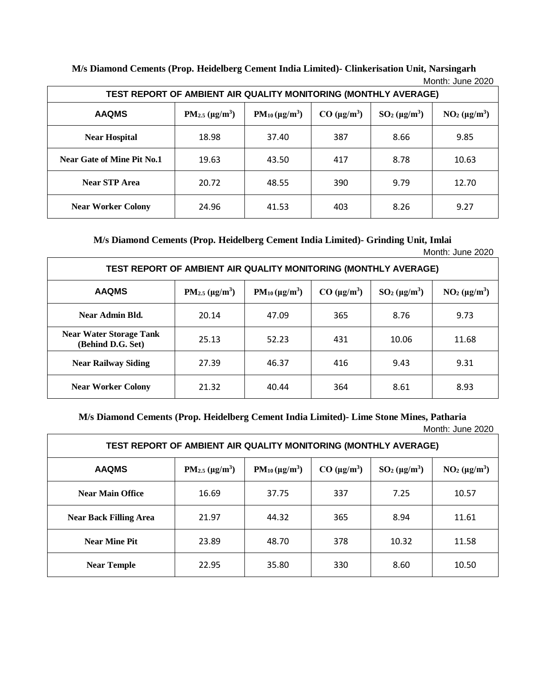|                            | <b>IVIUIIIII. JUIIE ZUZU</b><br>TEST REPORT OF AMBIENT AIR QUALITY MONITORING (MONTHLY AVERAGE) |                       |                    |                   |                  |  |
|----------------------------|-------------------------------------------------------------------------------------------------|-----------------------|--------------------|-------------------|------------------|--|
| <b>AAQMS</b>               | $PM_{2.5} (\mu g/m^3)$                                                                          | $PM_{10} (\mu g/m^3)$ | $CO \ (\mu g/m^3)$ | $SO_2(\mu g/m^3)$ | $NO2 (\mu g/m3)$ |  |
| <b>Near Hospital</b>       | 18.98                                                                                           | 37.40                 | 387                | 8.66              | 9.85             |  |
| Near Gate of Mine Pit No.1 | 19.63                                                                                           | 43.50                 | 417                | 8.78              | 10.63            |  |
| <b>Near STP Area</b>       | 20.72                                                                                           | 48.55                 | 390                | 9.79              | 12.70            |  |
| <b>Near Worker Colony</b>  | 24.96                                                                                           | 41.53                 | 403                | 8.26              | 9.27             |  |

**M/s Diamond Cements (Prop. Heidelberg Cement India Limited)- Clinkerisation Unit, Narsingarh** Month: June 2020

**M/s Diamond Cements (Prop. Heidelberg Cement India Limited)- Grinding Unit, Imlai**

Month: June 2020

| <b>TEST REPORT OF AMBIENT AIR QUALITY MONITORING (MONTHLY AVERAGE)</b> |                                              |                                |                    |                            |                  |  |
|------------------------------------------------------------------------|----------------------------------------------|--------------------------------|--------------------|----------------------------|------------------|--|
| <b>AAQMS</b>                                                           | PM <sub>2.5</sub> ( $\mu$ g/m <sup>3</sup> ) | $PM_{10}$ (µg/m <sup>3</sup> ) | $CO \ (\mu g/m^3)$ | $SO2$ (µg/m <sup>3</sup> ) | $NO2 (\mu g/m3)$ |  |
| Near Admin Bld.                                                        | 20.14                                        | 47.09                          | 365                | 8.76                       | 9.73             |  |
| <b>Near Water Storage Tank</b><br>(Behind D.G. Set)                    | 25.13                                        | 52.23                          | 431                | 10.06                      | 11.68            |  |
| <b>Near Railway Siding</b>                                             | 27.39                                        | 46.37                          | 416                | 9.43                       | 9.31             |  |
| <b>Near Worker Colony</b>                                              | 21.32                                        | 40.44                          | 364                | 8.61                       | 8.93             |  |

**M/s Diamond Cements (Prop. Heidelberg Cement India Limited)- Lime Stone Mines, Patharia** Month: June 2020

| TEST REPORT OF AMBIENT AIR QUALITY MONITORING (MONTHLY AVERAGE) |                        |                       |                    |                  |                  |  |
|-----------------------------------------------------------------|------------------------|-----------------------|--------------------|------------------|------------------|--|
| <b>AAQMS</b>                                                    | $PM_{2.5} (\mu g/m^3)$ | $PM_{10} (\mu g/m^3)$ | $CO \ (\mu g/m^3)$ | $SO2 (\mu g/m3)$ | $NO2 (\mu g/m3)$ |  |
| <b>Near Main Office</b>                                         | 16.69                  | 37.75                 | 337                | 7.25             | 10.57            |  |
| <b>Near Back Filling Area</b>                                   | 21.97                  | 44.32                 | 365                | 8.94             | 11.61            |  |
| <b>Near Mine Pit</b>                                            | 23.89                  | 48.70                 | 378                | 10.32            | 11.58            |  |
| <b>Near Temple</b>                                              | 22.95                  | 35.80                 | 330                | 8.60             | 10.50            |  |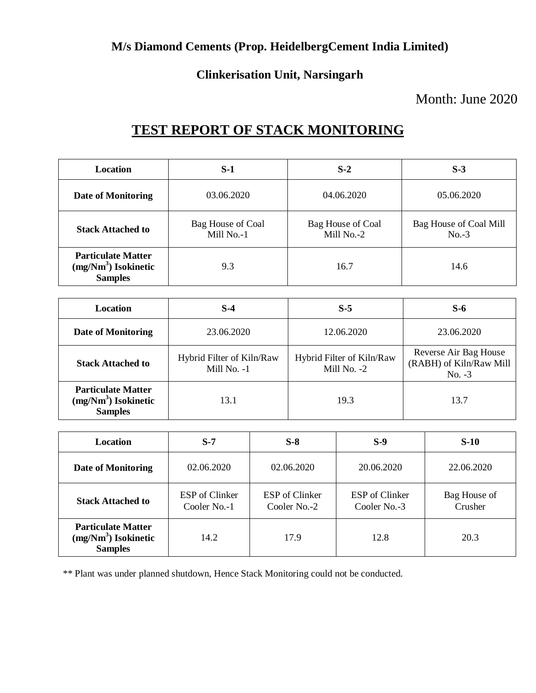# **Clinkerisation Unit, Narsingarh**

# Month: June 2020

# **TEST REPORT OF STACK MONITORING**

| <b>Location</b>                                                      | S-1                             | $S-2$                           | $S-3$                             |
|----------------------------------------------------------------------|---------------------------------|---------------------------------|-----------------------------------|
| Date of Monitoring                                                   | 03.06.2020                      | 04.06.2020                      | 05.06.2020                        |
| <b>Stack Attached to</b>                                             | Bag House of Coal<br>Mill No.-1 | Bag House of Coal<br>Mill No.-2 | Bag House of Coal Mill<br>$No.-3$ |
| <b>Particulate Matter</b><br>$(mg/Nm3)$ Isokinetic<br><b>Samples</b> | 9.3                             | 16.7                            | 14.6                              |

| <b>Location</b>                                                      | $S-4$                                      | $S-5$                                    | S-6                                                          |
|----------------------------------------------------------------------|--------------------------------------------|------------------------------------------|--------------------------------------------------------------|
| Date of Monitoring                                                   | 23.06.2020                                 | 12.06.2020                               | 23.06.2020                                                   |
| <b>Stack Attached to</b>                                             | Hybrid Filter of Kiln/Raw<br>Mill No. $-1$ | Hybrid Filter of Kiln/Raw<br>Mill No. -2 | Reverse Air Bag House<br>(RABH) of Kiln/Raw Mill<br>$No. -3$ |
| <b>Particulate Matter</b><br>$(mg/Nm3)$ Isokinetic<br><b>Samples</b> | 13.1                                       | 19.3                                     | 13.7                                                         |

| <b>Location</b>                                                      | $S-7$                          | $S-8$                          | $S-9$                          | $S-10$                  |
|----------------------------------------------------------------------|--------------------------------|--------------------------------|--------------------------------|-------------------------|
| Date of Monitoring                                                   | 02.06.2020                     | 02.06.2020                     | 20.06.2020                     | 22.06.2020              |
| <b>Stack Attached to</b>                                             | ESP of Clinker<br>Cooler No.-1 | ESP of Clinker<br>Cooler No.-2 | ESP of Clinker<br>Cooler No.-3 | Bag House of<br>Crusher |
| <b>Particulate Matter</b><br>$(mg/Nm3)$ Isokinetic<br><b>Samples</b> | 14.2                           | 17.9                           | 12.8                           | 20.3                    |

\*\* Plant was under planned shutdown, Hence Stack Monitoring could not be conducted.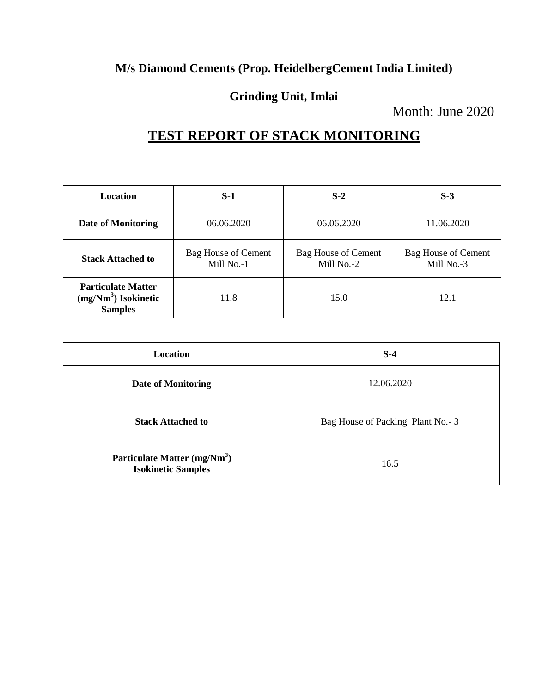## **Grinding Unit, Imlai**

Month: June 2020

# **TEST REPORT OF STACK MONITORING**

| Location                                                             | $S-1$                                    | $S-2$                                    | $S-3$                                    |
|----------------------------------------------------------------------|------------------------------------------|------------------------------------------|------------------------------------------|
| <b>Date of Monitoring</b>                                            | 06.06.2020                               | 06.06.2020                               | 11.06.2020                               |
| <b>Stack Attached to</b>                                             | <b>Bag House of Cement</b><br>Mill No.-1 | <b>Bag House of Cement</b><br>Mill No.-2 | <b>Bag House of Cement</b><br>Mill No.-3 |
| <b>Particulate Matter</b><br>$(mg/Nm3)$ Isokinetic<br><b>Samples</b> | 11.8                                     | 15.0                                     | 12.1                                     |

| Location                                                              | $S-4$                            |
|-----------------------------------------------------------------------|----------------------------------|
| Date of Monitoring                                                    | 12.06.2020                       |
| <b>Stack Attached to</b>                                              | Bag House of Packing Plant No.-3 |
| Particulate Matter (mg/Nm <sup>3</sup> )<br><b>Isokinetic Samples</b> | 16.5                             |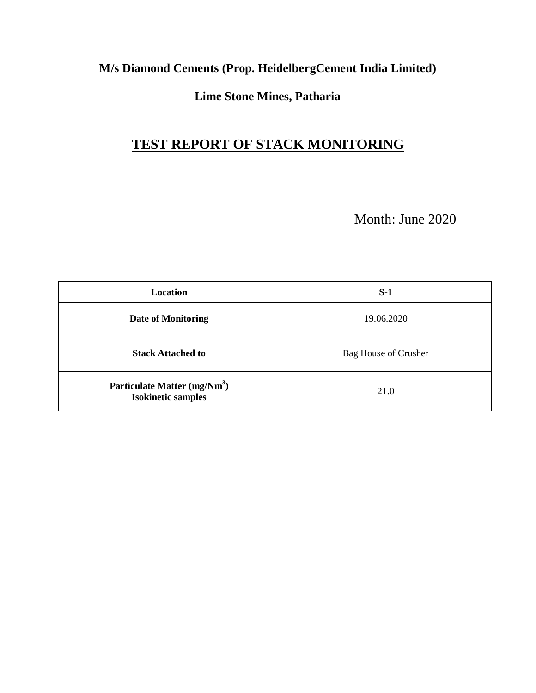## **Lime Stone Mines, Patharia**

# **TEST REPORT OF STACK MONITORING**

Month: June 2020

| Location                                                              | $S-1$                |
|-----------------------------------------------------------------------|----------------------|
| <b>Date of Monitoring</b>                                             | 19.06.2020           |
| <b>Stack Attached to</b>                                              | Bag House of Crusher |
| Particulate Matter (mg/Nm <sup>3</sup> )<br><b>Isokinetic samples</b> | 21.0                 |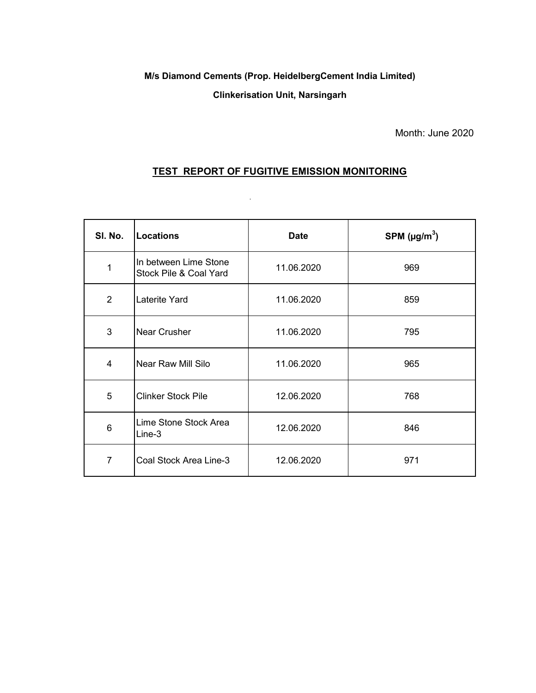#### **Clinkerisation Unit, Narsingarh**

Month: June 2020

### **TEST REPORT OF FUGITIVE EMISSION MONITORING**

 $\langle \hat{\mathbf{u}} \rangle$ 

| SI. No.         | <b>Locations</b>                                | <b>Date</b> | SPM $(\mu g/m^3)$ |
|-----------------|-------------------------------------------------|-------------|-------------------|
| 1               | In between Lime Stone<br>Stock Pile & Coal Yard | 11.06.2020  | 969               |
| 2               | Laterite Yard                                   | 11.06.2020  | 859               |
| 3               | Near Crusher                                    | 11.06.2020  | 795               |
| 4               | Near Raw Mill Silo                              | 11.06.2020  | 965               |
| 5               | <b>Clinker Stock Pile</b>                       | 12.06.2020  | 768               |
| $6\phantom{1}6$ | Lime Stone Stock Area<br>Line-3                 | 12.06.2020  | 846               |
| $\overline{7}$  | Coal Stock Area Line-3                          | 12.06.2020  | 971               |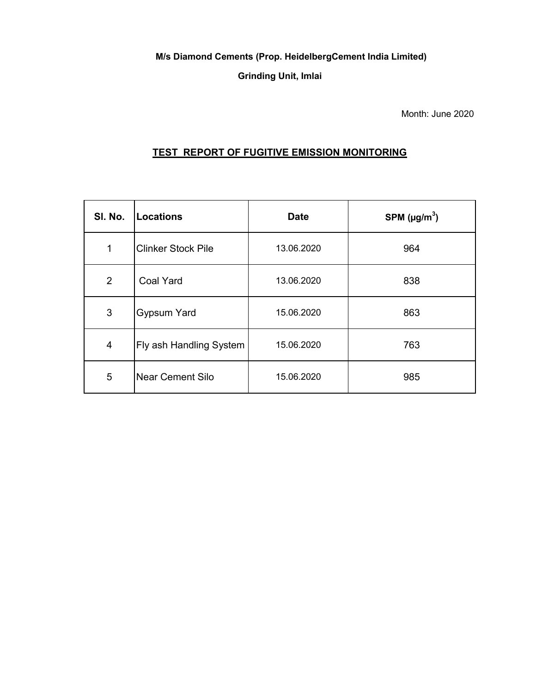**Grinding Unit, Imlai**

Month: June 2020

### **TEST REPORT OF FUGITIVE EMISSION MONITORING**

| SI. No.        | <b>Locations</b>          | <b>Date</b> | SPM $(\mu g/m^3)$ |
|----------------|---------------------------|-------------|-------------------|
| $\mathbf 1$    | <b>Clinker Stock Pile</b> | 13.06.2020  | 964               |
| 2              | <b>Coal Yard</b>          | 13.06.2020  | 838               |
| 3              | <b>Gypsum Yard</b>        | 15.06.2020  | 863               |
| $\overline{4}$ | Fly ash Handling System   | 15.06.2020  | 763               |
| 5              | <b>Near Cement Silo</b>   | 15.06.2020  | 985               |